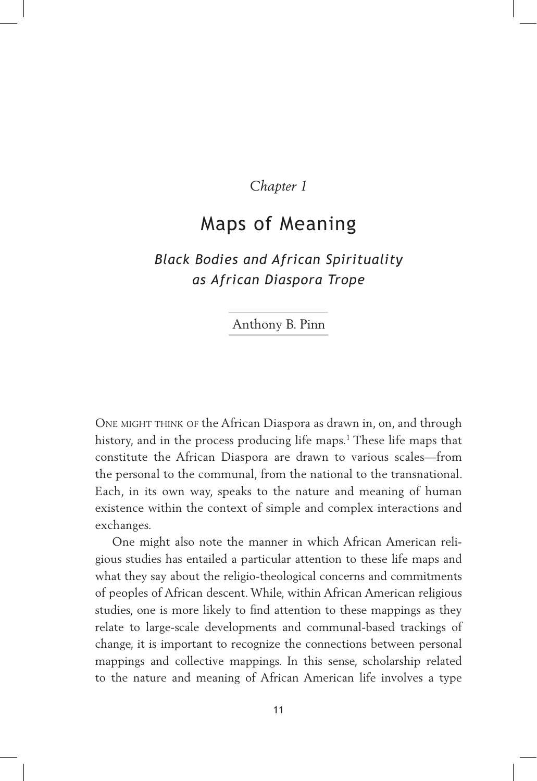### *Chapter 1*

# Maps of Meaning

## *Black Bodies and African Spirituality as African Diaspora Trope*

#### .Anthony B. Pinn.

ONE MIGHT THINK OF the African Diaspora as drawn in, on, and through history, and in the process producing life maps.<sup>1</sup> These life maps that constitute the African Diaspora are drawn to various scales—from the personal to the communal, from the national to the transnational. Each, in its own way, speaks to the nature and meaning of human existence within the context of simple and complex interactions and exchanges.

One might also note the manner in which African American religious studies has entailed a particular attention to these life maps and what they say about the religio-theological concerns and commitments of peoples of African descent. While, within African American religious studies, one is more likely to find attention to these mappings as they relate to large-scale developments and communal-based trackings of change, it is important to recognize the connections between personal mappings and collective mappings. In this sense, scholarship related to the nature and meaning of African American life involves a type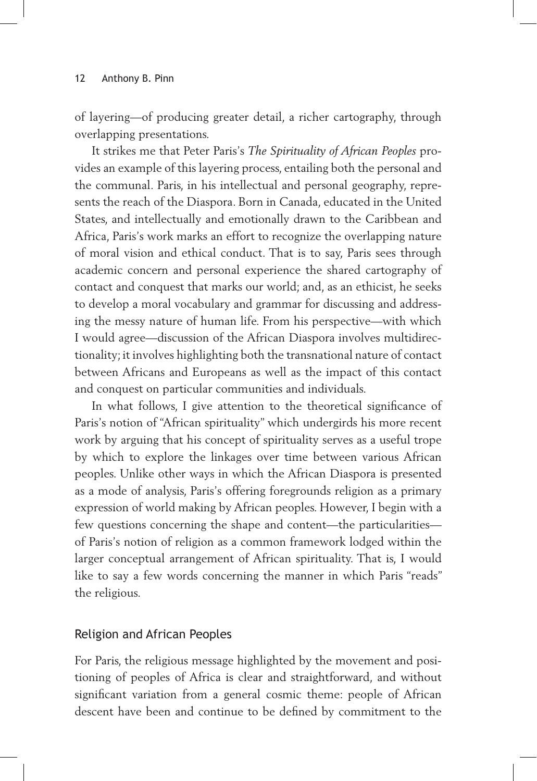of layering—of producing greater detail, a richer cartography, through overlapping presentations.

It strikes me that Peter Paris's *The Spirituality of African Peoples* provides an example of this layering process, entailing both the personal and the communal. Paris, in his intellectual and personal geography, represents the reach of the Diaspora. Born in Canada, educated in the United States, and intellectually and emotionally drawn to the Caribbean and Africa, Paris's work marks an effort to recognize the overlapping nature of moral vision and ethical conduct. That is to say, Paris sees through academic concern and personal experience the shared cartography of contact and conquest that marks our world; and, as an ethicist, he seeks to develop a moral vocabulary and grammar for discussing and addressing the messy nature of human life. From his perspective—with which I would agree—discussion of the African Diaspora involves multidirectionality; it involves highlighting both the transnational nature of contact between Africans and Europeans as well as the impact of this contact and conquest on particular communities and individuals.

In what follows, I give attention to the theoretical significance of Paris's notion of "African spirituality" which undergirds his more recent work by arguing that his concept of spirituality serves as a useful trope by which to explore the linkages over time between various African peoples. Unlike other ways in which the African Diaspora is presented as a mode of analysis, Paris's offering foregrounds religion as a primary expression of world making by African peoples. However, I begin with a few questions concerning the shape and content—the particularities of Paris's notion of religion as a common framework lodged within the larger conceptual arrangement of African spirituality. That is, I would like to say a few words concerning the manner in which Paris "reads" the religious.

#### Religion and African Peoples

For Paris, the religious message highlighted by the movement and positioning of peoples of Africa is clear and straightforward, and without significant variation from a general cosmic theme: people of African descent have been and continue to be defined by commitment to the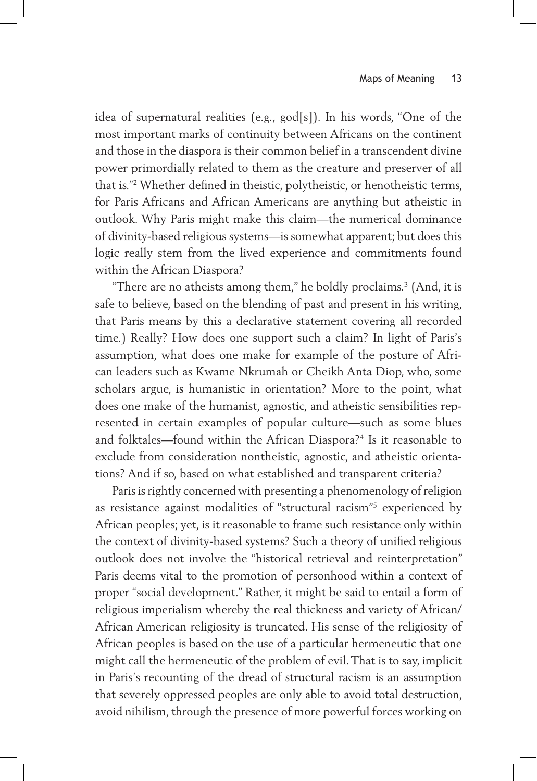idea of supernatural realities (e.g., god[s]). In his words, "One of the most important marks of continuity between Africans on the continent and those in the diaspora is their common belief in a transcendent divine power primordially related to them as the creature and preserver of all that is."2 Whether defined in theistic, polytheistic, or henotheistic terms, for Paris Africans and African Americans are anything but atheistic in outlook. Why Paris might make this claim—the numerical dominance of divinity-based religious systems—is somewhat apparent; but does this logic really stem from the lived experience and commitments found within the African Diaspora?

"There are no atheists among them," he boldly proclaims.3 (And, it is safe to believe, based on the blending of past and present in his writing, that Paris means by this a declarative statement covering all recorded time.) Really? How does one support such a claim? In light of Paris's assumption, what does one make for example of the posture of African leaders such as Kwame Nkrumah or Cheikh Anta Diop, who, some scholars argue, is humanistic in orientation? More to the point, what does one make of the humanist, agnostic, and atheistic sensibilities represented in certain examples of popular culture—such as some blues and folktales—found within the African Diaspora?<sup>4</sup> Is it reasonable to exclude from consideration nontheistic, agnostic, and atheistic orientations? And if so, based on what established and transparent criteria?

Paris is rightly concerned with presenting a phenomenology of religion as resistance against modalities of "structural racism"5 experienced by African peoples; yet, is it reasonable to frame such resistance only within the context of divinity-based systems? Such a theory of unified religious outlook does not involve the "historical retrieval and reinterpretation" Paris deems vital to the promotion of personhood within a context of proper "social development." Rather, it might be said to entail a form of religious imperialism whereby the real thickness and variety of African/ African American religiosity is truncated. His sense of the religiosity of African peoples is based on the use of a particular hermeneutic that one might call the hermeneutic of the problem of evil. That is to say, implicit in Paris's recounting of the dread of structural racism is an assumption that severely oppressed peoples are only able to avoid total destruction, avoid nihilism, through the presence of more powerful forces working on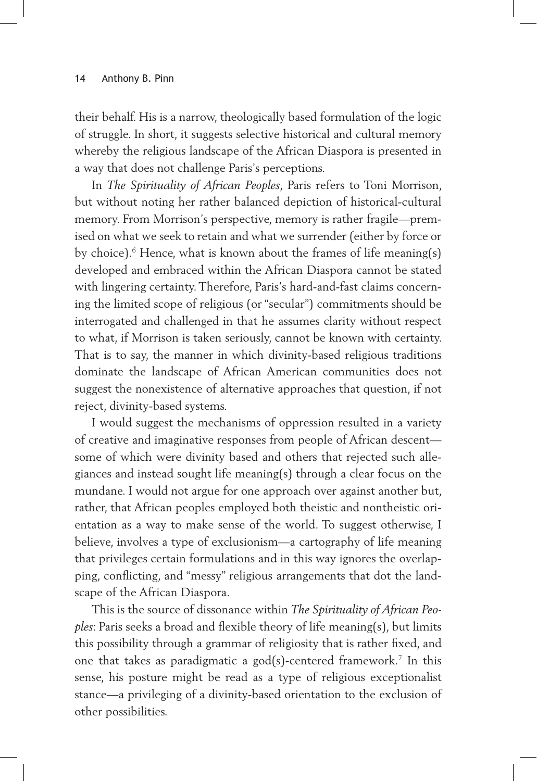their behalf. His is a narrow, theologically based formulation of the logic of struggle. In short, it suggests selective historical and cultural memory whereby the religious landscape of the African Diaspora is presented in a way that does not challenge Paris's perceptions.

In *The Spirituality of African Peoples*, Paris refers to Toni Morrison, but without noting her rather balanced depiction of historical-cultural memory. From Morrison's perspective, memory is rather fragile—premised on what we seek to retain and what we surrender (either by force or by choice). $\rm^6$  Hence, what is known about the frames of life meaning(s) developed and embraced within the African Diaspora cannot be stated with lingering certainty. Therefore, Paris's hard-and-fast claims concerning the limited scope of religious (or "secular") commitments should be interrogated and challenged in that he assumes clarity without respect to what, if Morrison is taken seriously, cannot be known with certainty. That is to say, the manner in which divinity-based religious traditions dominate the landscape of African American communities does not suggest the nonexistence of alternative approaches that question, if not reject, divinity-based systems.

I would suggest the mechanisms of oppression resulted in a variety of creative and imaginative responses from people of African descent some of which were divinity based and others that rejected such allegiances and instead sought life meaning(s) through a clear focus on the mundane. I would not argue for one approach over against another but, rather, that African peoples employed both theistic and nontheistic orientation as a way to make sense of the world. To suggest otherwise, I believe, involves a type of exclusionism—a cartography of life meaning that privileges certain formulations and in this way ignores the overlapping, conflicting, and "messy" religious arrangements that dot the landscape of the African Diaspora.

This is the source of dissonance within *The Spirituality of African Peoples*: Paris seeks a broad and flexible theory of life meaning(s), but limits this possibility through a grammar of religiosity that is rather fixed, and one that takes as paradigmatic a god(s)-centered framework.<sup>7</sup> In this sense, his posture might be read as a type of religious exceptionalist stance—a privileging of a divinity-based orientation to the exclusion of other possibilities.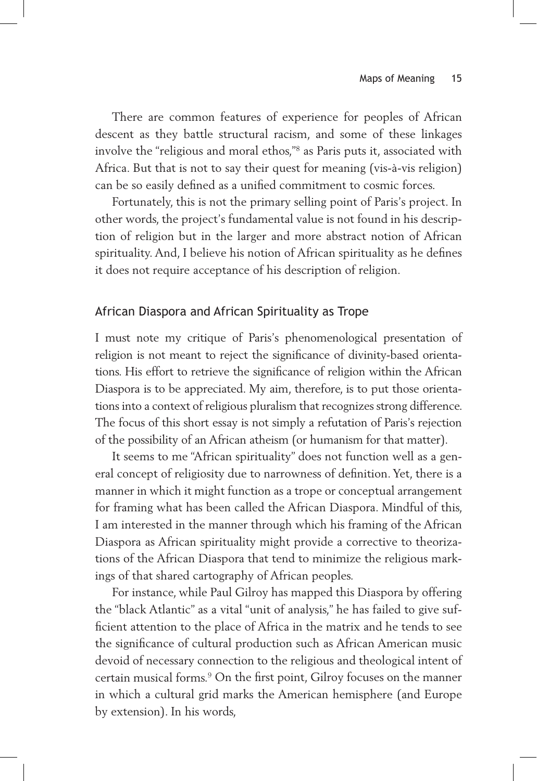There are common features of experience for peoples of African descent as they battle structural racism, and some of these linkages involve the "religious and moral ethos,"8 as Paris puts it, associated with Africa. But that is not to say their quest for meaning (vis-à-vis religion) can be so easily defined as a unified commitment to cosmic forces.

Fortunately, this is not the primary selling point of Paris's project. In other words, the project's fundamental value is not found in his description of religion but in the larger and more abstract notion of African spirituality. And, I believe his notion of African spirituality as he defines it does not require acceptance of his description of religion.

#### African Diaspora and African Spirituality as Trope

I must note my critique of Paris's phenomenological presentation of religion is not meant to reject the significance of divinity-based orientations. His effort to retrieve the significance of religion within the African Diaspora is to be appreciated. My aim, therefore, is to put those orientations into a context of religious pluralism that recognizes strong difference. The focus of this short essay is not simply a refutation of Paris's rejection of the possibility of an African atheism (or humanism for that matter).

It seems to me "African spirituality" does not function well as a general concept of religiosity due to narrowness of definition. Yet, there is a manner in which it might function as a trope or conceptual arrangement for framing what has been called the African Diaspora. Mindful of this, I am interested in the manner through which his framing of the African Diaspora as African spirituality might provide a corrective to theorizations of the African Diaspora that tend to minimize the religious markings of that shared cartography of African peoples.

For instance, while Paul Gilroy has mapped this Diaspora by offering the "black Atlantic" as a vital "unit of analysis," he has failed to give sufficient attention to the place of Africa in the matrix and he tends to see the significance of cultural production such as African American music devoid of necessary connection to the religious and theological intent of certain musical forms.9 On the first point, Gilroy focuses on the manner in which a cultural grid marks the American hemisphere (and Europe by extension). In his words,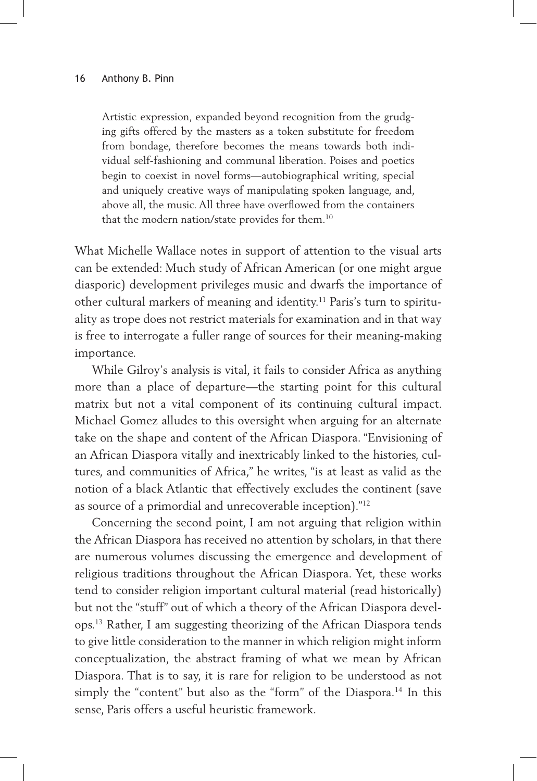Artistic expression, expanded beyond recognition from the grudging gifts offered by the masters as a token substitute for freedom from bondage, therefore becomes the means towards both individual self-fashioning and communal liberation. Poises and poetics begin to coexist in novel forms—autobiographical writing, special and uniquely creative ways of manipulating spoken language, and, above all, the music. All three have overflowed from the containers that the modern nation/state provides for them.<sup>10</sup>

What Michelle Wallace notes in support of attention to the visual arts can be extended: Much study of African American (or one might argue diasporic) development privileges music and dwarfs the importance of other cultural markers of meaning and identity.<sup>11</sup> Paris's turn to spirituality as trope does not restrict materials for examination and in that way is free to interrogate a fuller range of sources for their meaning-making importance.

While Gilroy's analysis is vital, it fails to consider Africa as anything more than a place of departure—the starting point for this cultural matrix but not a vital component of its continuing cultural impact. Michael Gomez alludes to this oversight when arguing for an alternate take on the shape and content of the African Diaspora. "Envisioning of an African Diaspora vitally and inextricably linked to the histories, cultures, and communities of Africa," he writes, "is at least as valid as the notion of a black Atlantic that effectively excludes the continent (save as source of a primordial and unrecoverable inception)."12

Concerning the second point, I am not arguing that religion within the African Diaspora has received no attention by scholars, in that there are numerous volumes discussing the emergence and development of religious traditions throughout the African Diaspora. Yet, these works tend to consider religion important cultural material (read historically) but not the "stuff" out of which a theory of the African Diaspora develops.13 Rather, I am suggesting theorizing of the African Diaspora tends to give little consideration to the manner in which religion might inform conceptualization, the abstract framing of what we mean by African Diaspora. That is to say, it is rare for religion to be understood as not simply the "content" but also as the "form" of the Diaspora.<sup>14</sup> In this sense, Paris offers a useful heuristic framework.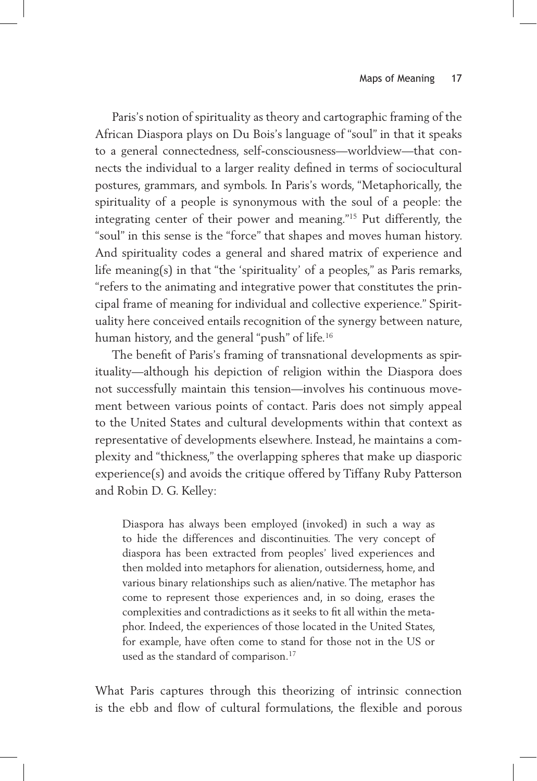Paris's notion of spirituality as theory and cartographic framing of the African Diaspora plays on Du Bois's language of "soul" in that it speaks to a general connectedness, self-consciousness—worldview—that connects the individual to a larger reality defined in terms of sociocultural postures, grammars, and symbols. In Paris's words, "Metaphorically, the spirituality of a people is synonymous with the soul of a people: the integrating center of their power and meaning."15 Put differently, the "soul" in this sense is the "force" that shapes and moves human history. And spirituality codes a general and shared matrix of experience and life meaning(s) in that "the 'spirituality' of a peoples," as Paris remarks, "refers to the animating and integrative power that constitutes the principal frame of meaning for individual and collective experience." Spirituality here conceived entails recognition of the synergy between nature, human history, and the general "push" of life.16

The benefit of Paris's framing of transnational developments as spirituality—although his depiction of religion within the Diaspora does not successfully maintain this tension—involves his continuous movement between various points of contact. Paris does not simply appeal to the United States and cultural developments within that context as representative of developments elsewhere. Instead, he maintains a complexity and "thickness," the overlapping spheres that make up diasporic experience(s) and avoids the critique offered by Tiffany Ruby Patterson and Robin D. G. Kelley:

Diaspora has always been employed (invoked) in such a way as to hide the differences and discontinuities. The very concept of diaspora has been extracted from peoples' lived experiences and then molded into metaphors for alienation, outsiderness, home, and various binary relationships such as alien/native. The metaphor has come to represent those experiences and, in so doing, erases the complexities and contradictions as it seeks to fit all within the metaphor. Indeed, the experiences of those located in the United States, for example, have often come to stand for those not in the US or used as the standard of comparison.<sup>17</sup>

What Paris captures through this theorizing of intrinsic connection is the ebb and flow of cultural formulations, the flexible and porous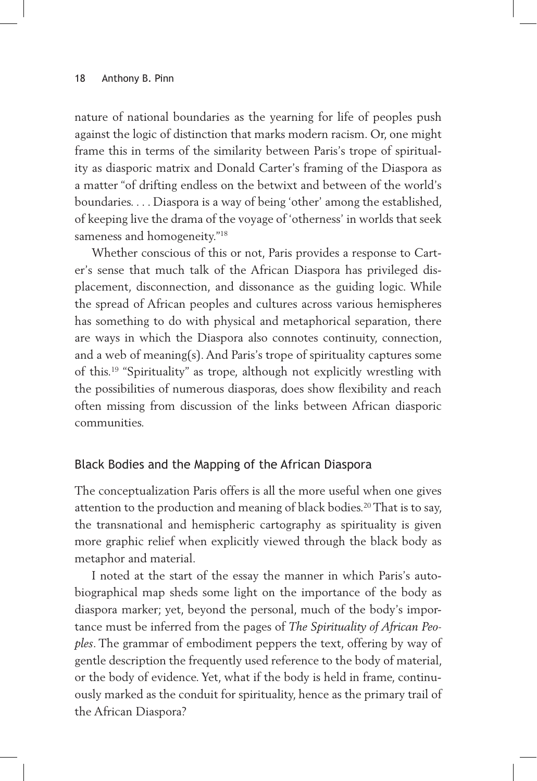nature of national boundaries as the yearning for life of peoples push against the logic of distinction that marks modern racism. Or, one might frame this in terms of the similarity between Paris's trope of spirituality as diasporic matrix and Donald Carter's framing of the Diaspora as a matter "of drifting endless on the betwixt and between of the world's boundaries. . . . Diaspora is a way of being 'other' among the established, of keeping live the drama of the voyage of 'otherness' in worlds that seek sameness and homogeneity."<sup>18</sup>

Whether conscious of this or not, Paris provides a response to Carter's sense that much talk of the African Diaspora has privileged displacement, disconnection, and dissonance as the guiding logic. While the spread of African peoples and cultures across various hemispheres has something to do with physical and metaphorical separation, there are ways in which the Diaspora also connotes continuity, connection, and a web of meaning(s). And Paris's trope of spirituality captures some of this.19 "Spirituality" as trope, although not explicitly wrestling with the possibilities of numerous diasporas, does show flexibility and reach often missing from discussion of the links between African diasporic communities.

#### Black Bodies and the Mapping of the African Diaspora

The conceptualization Paris offers is all the more useful when one gives attention to the production and meaning of black bodies.<sup>20</sup> That is to say, the transnational and hemispheric cartography as spirituality is given more graphic relief when explicitly viewed through the black body as metaphor and material.

I noted at the start of the essay the manner in which Paris's autobiographical map sheds some light on the importance of the body as diaspora marker; yet, beyond the personal, much of the body's importance must be inferred from the pages of *The Spirituality of African Peoples*. The grammar of embodiment peppers the text, offering by way of gentle description the frequently used reference to the body of material, or the body of evidence. Yet, what if the body is held in frame, continuously marked as the conduit for spirituality, hence as the primary trail of the African Diaspora?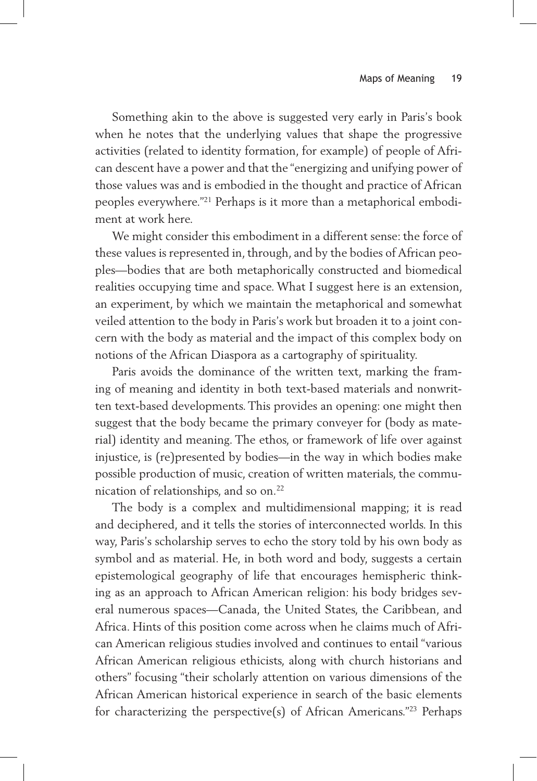Something akin to the above is suggested very early in Paris's book when he notes that the underlying values that shape the progressive activities (related to identity formation, for example) of people of African descent have a power and that the "energizing and unifying power of those values was and is embodied in the thought and practice of African peoples everywhere."21 Perhaps is it more than a metaphorical embodiment at work here.

We might consider this embodiment in a different sense: the force of these values is represented in, through, and by the bodies of African peoples—bodies that are both metaphorically constructed and biomedical realities occupying time and space. What I suggest here is an extension, an experiment, by which we maintain the metaphorical and somewhat veiled attention to the body in Paris's work but broaden it to a joint concern with the body as material and the impact of this complex body on notions of the African Diaspora as a cartography of spirituality.

Paris avoids the dominance of the written text, marking the framing of meaning and identity in both text-based materials and nonwritten text-based developments. This provides an opening: one might then suggest that the body became the primary conveyer for (body as material) identity and meaning. The ethos, or framework of life over against injustice, is (re)presented by bodies—in the way in which bodies make possible production of music, creation of written materials, the communication of relationships, and so on.22

The body is a complex and multidimensional mapping; it is read and deciphered, and it tells the stories of interconnected worlds. In this way, Paris's scholarship serves to echo the story told by his own body as symbol and as material. He, in both word and body, suggests a certain epistemological geography of life that encourages hemispheric thinking as an approach to African American religion: his body bridges several numerous spaces—Canada, the United States, the Caribbean, and Africa. Hints of this position come across when he claims much of African American religious studies involved and continues to entail "various African American religious ethicists, along with church historians and others" focusing "their scholarly attention on various dimensions of the African American historical experience in search of the basic elements for characterizing the perspective(s) of African Americans."23 Perhaps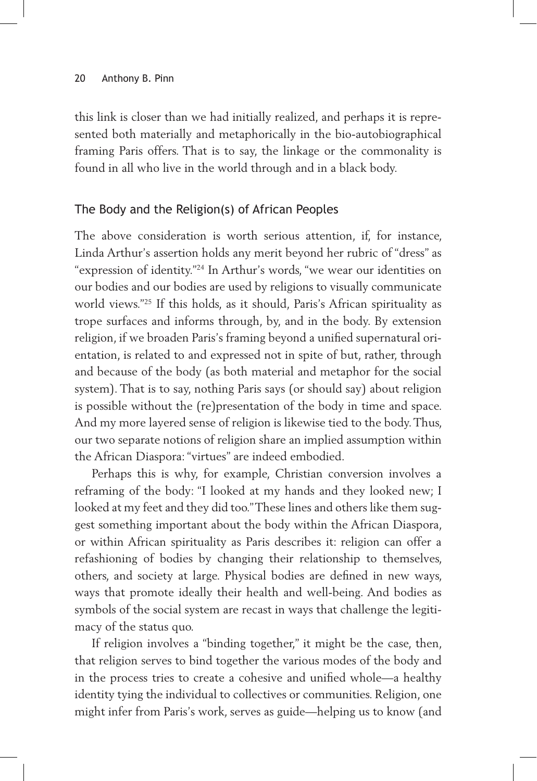this link is closer than we had initially realized, and perhaps it is represented both materially and metaphorically in the bio-autobiographical framing Paris offers. That is to say, the linkage or the commonality is found in all who live in the world through and in a black body.

### The Body and the Religion(s) of African Peoples

The above consideration is worth serious attention, if, for instance, Linda Arthur's assertion holds any merit beyond her rubric of "dress" as "expression of identity."24 In Arthur's words, "we wear our identities on our bodies and our bodies are used by religions to visually communicate world views."25 If this holds, as it should, Paris's African spirituality as trope surfaces and informs through, by, and in the body. By extension religion, if we broaden Paris's framing beyond a unified supernatural orientation, is related to and expressed not in spite of but, rather, through and because of the body (as both material and metaphor for the social system). That is to say, nothing Paris says (or should say) about religion is possible without the (re)presentation of the body in time and space. And my more layered sense of religion is likewise tied to the body. Thus, our two separate notions of religion share an implied assumption within the African Diaspora: "virtues" are indeed embodied.

Perhaps this is why, for example, Christian conversion involves a reframing of the body: "I looked at my hands and they looked new; I looked at my feet and they did too." These lines and others like them suggest something important about the body within the African Diaspora, or within African spirituality as Paris describes it: religion can offer a refashioning of bodies by changing their relationship to themselves, others, and society at large. Physical bodies are defined in new ways, ways that promote ideally their health and well-being. And bodies as symbols of the social system are recast in ways that challenge the legitimacy of the status quo.

If religion involves a "binding together," it might be the case, then, that religion serves to bind together the various modes of the body and in the process tries to create a cohesive and unified whole—a healthy identity tying the individual to collectives or communities. Religion, one might infer from Paris's work, serves as guide—helping us to know (and